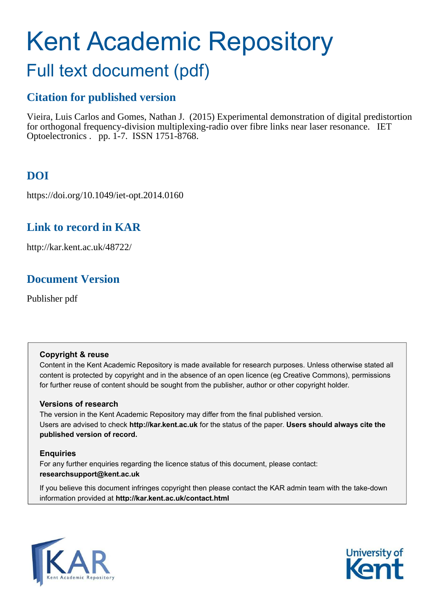# Kent Academic Repository

## Full text document (pdf)

## **Citation for published version**

Vieira, Luis Carlos and Gomes, Nathan J. (2015) Experimental demonstration of digital predistortion for orthogonal frequency-division multiplexing-radio over fibre links near laser resonance. IET Optoelectronics . pp. 1-7. ISSN 1751-8768.

## **DOI**

https://doi.org/10.1049/iet-opt.2014.0160

## **Link to record in KAR**

http://kar.kent.ac.uk/48722/

## **Document Version**

Publisher pdf

#### **Copyright & reuse**

Content in the Kent Academic Repository is made available for research purposes. Unless otherwise stated all content is protected by copyright and in the absence of an open licence (eg Creative Commons), permissions for further reuse of content should be sought from the publisher, author or other copyright holder.

#### **Versions of research**

The version in the Kent Academic Repository may differ from the final published version. Users are advised to check **http://kar.kent.ac.uk** for the status of the paper. **Users should always cite the published version of record.**

#### **Enquiries**

For any further enquiries regarding the licence status of this document, please contact: **researchsupport@kent.ac.uk**

If you believe this document infringes copyright then please contact the KAR admin team with the take-down information provided at **http://kar.kent.ac.uk/contact.html**



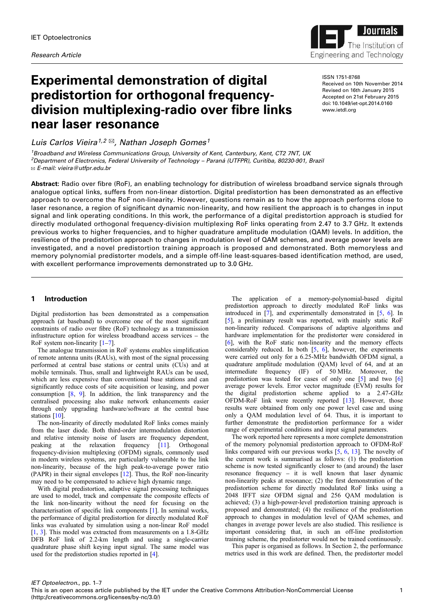

## <span id="page-1-0"></span>Experimental demonstration of digital predistortion for orthogonal frequencydivision multiplexing-radio over fibre links near laser resonance

Luis Carlos Vieira<sup>1,2 $\boxtimes$ </sup>, Nathan Joseph Gomes<sup>1</sup>

<sup>1</sup>Broadband and Wireless Communications Group, University of Kent, Canterbury, Kent, CT2 7NT, UK <sup>2</sup>Department of Electronics, Federal University of Technology – Paraná (UTFPR), Curitiba, 80230-901, Brazil ✉ E-mail: vieira@utfpr.edu.br

ISSN 1751-8768 Received on 10th November 2014 Revised on 16th January 2015 Accepted on 21st February 2015 doi: 10.1049/iet-opt.2014.0160 www.ietdl.org

Abstract: Radio over fibre (RoF), an enabling technology for distribution of wireless broadband service signals through analogue optical links, suffers from non-linear distortion. Digital predistortion has been demonstrated as an effective approach to overcome the RoF non-linearity. However, questions remain as to how the approach performs close to laser resonance, a region of significant dynamic non-linearity, and how resilient the approach is to changes in input signal and link operating conditions. In this work, the performance of a digital predistortion approach is studied for directly modulated orthogonal frequency-division multiplexing RoF links operating from 2.47 to 3.7 GHz. It extends previous works to higher frequencies, and to higher quadrature amplitude modulation (QAM) levels. In addition, the resilience of the predistortion approach to changes in modulation level of QAM schemes, and average power levels are investigated, and a novel predistortion training approach is proposed and demonstrated. Both memoryless and memory polynomial predistorter models, and a simple off-line least-squares-based identification method, are used, with excellent performance improvements demonstrated up to 3.0 GHz.

#### 1 Introduction

Digital predistortion has been demonstrated as a compensation approach (at baseband) to overcome one of the most significant constraints of radio over fibre (RoF) technology as a transmission infrastructure option for wireless broadband access services – the RoF system non-linearity  $[1-7]$  $[1-7]$  $[1-7]$  $[1-7]$  $[1-7]$ .

The analogue transmission in RoF systems enables simplification of remote antenna units (RAUs), with most of the signal processing performed at central base stations or central units (CUs) and at mobile terminals. Thus, small and lightweight RAUs can be used, which are less expensive than conventional base stations and can significantly reduce costs of site acquisition or leasing, and power consumption [[8](#page-6-0), [9\]](#page-6-0). In addition, the link transparency and the centralised processing also make network enhancements easier through only upgrading hardware/software at the central base stations [\[10](#page-6-0)].

The non-linearity of directly modulated RoF links comes mainly from the laser diode. Both third-order intermodulation distortion and relative intensity noise of lasers are frequency dependent, peaking at the relaxation frequency [[11\]](#page-6-0). Orthogonal frequency-division multiplexing (OFDM) signals, commonly used in modern wireless systems, are particularly vulnerable to the link non-linearity, because of the high peak-to-average power ratio (PAPR) in their signal envelopes [\[12](#page-6-0)]. Thus, the RoF non-linearity may need to be compensated to achieve high dynamic range.

With digital predistortion, adaptive signal processing techniques are used to model, track and compensate the composite effects of the link non-linearity without the need for focusing on the characterisation of specific link components [\[1\]](#page-6-0). In seminal works, the performance of digital predistortion for directly modulated RoF links was evaluated by simulation using a non-linear RoF model [\[1,](#page-6-0) [3\]](#page-6-0). This model was extracted from measurements on a 1.8-GHz DFB RoF link of 2.2-km length and using a single-carrier quadrature phase shift keying input signal. The same model was used for the predistortion studies reported in [[4](#page-6-0)].

The application of a memory-polynomial-based digital predistortion approach to directly modulated RoF links was introduced in [\[7\]](#page-6-0), and experimentally demonstrated in [\[5,](#page-6-0) [6\]](#page-6-0). In [[5](#page-6-0)], a preliminary result was reported, with mainly static RoF non-linearity reduced. Comparisons of adaptive algorithms and hardware implementation for the predistorter were considered in [[6](#page-6-0)], with the RoF static non-linearity and the memory effects considerably reduced. In both [\[5,](#page-6-0) [6](#page-6-0)], however, the experiments were carried out only for a 6.25-MHz bandwidth OFDM signal, a quadrature amplitude modulation (QAM) level of 64, and at an intermediate frequency (IF) of 50 MHz. Moreover, the predistortion was tested for cases of only one [\[5\]](#page-6-0) and two [\[6\]](#page-6-0) average power levels. Error vector magnitude (EVM) results for the digital predistortion scheme applied to a 2.47-GHz OFDM-RoF link were recently reported [[13\]](#page-6-0). However, those results were obtained from only one power level case and using only a QAM modulation level of 64. Thus, it is important to further demonstrate the predistortion performance for a wider range of experimental conditions and input signal parameters.

The work reported here represents a more complete demonstration of the memory polynomial predistortion approach to OFDM-RoF links compared with our previous works [\[5,](#page-6-0) [6,](#page-6-0) [13\]](#page-6-0). The novelty of the current work is summarised as follows: (1) the predistortion scheme is now tested significantly closer to (and around) the laser resonance frequency – it is well known that laser dynamic non-linearity peaks at resonance; (2) the first demonstration of the predistortion scheme for directly modulated RoF links using a 2048 IFFT size OFDM signal and 256 QAM modulation is achieved; (3) a high-power-level predistortion training approach is proposed and demonstrated; (4) the resilience of the predistortion approach to changes in modulation level of QAM schemes, and changes in average power levels are also studied. This resilience is important considering that, in such an off-line predistortion training scheme, the predistorter would not be trained continuously.

This paper is organised as follows. In Section 2, the performance metrics used in this work are defined. Then, the predistorter model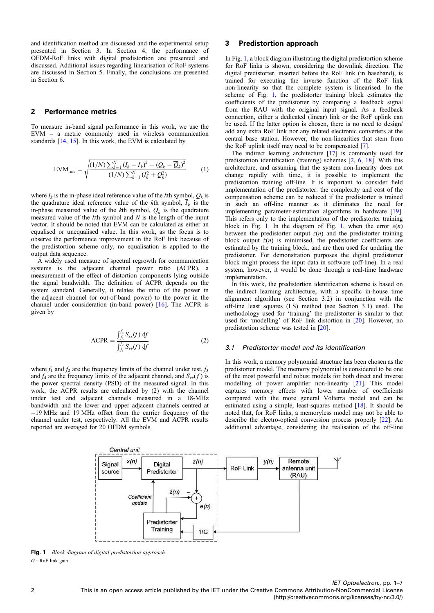<span id="page-2-0"></span>and identification method are discussed and the experimental setup presented in Section 3. In Section 4, the performance of OFDM-RoF links with digital predistortion are presented and discussed. Additional issues regarding linearisation of RoF systems are discussed in Section 5. Finally, the conclusions are presented in Section 6.

#### 2 Performance metrics

To measure in-band signal performance in this work, we use the EVM – a metric commonly used in wireless communication standards [[14,](#page-6-0) [15\]](#page-6-0). In this work, the EVM is calculated by

$$
EVM_{\text{rms}} = \sqrt{\frac{(1/N)\sum_{k=1}^{N} (I_k - \overline{I}_k)^2 + (Q_k - \overline{Q}_k)^2}{(1/N)\sum_{k=1}^{N} (I_k^2 + Q_k^2)}}
$$
(1)

where  $I_k$  is the in-phase ideal reference value of the *k*th symbol,  $Q_k$  is the quadrature ideal reference value of the  $k$ <sup>th</sup> symbol,  $I_k$  is the in-phase measured value of the  $k$ <sup>th</sup> symbol,  $Q_k$  is the quadrature measured value of the *k*th symbol and *N* is the length of the input vector. It should be noted that EVM can be calculated as either an equalised or unequalised value. In this work, as the focus is to observe the performance improvement in the RoF link because of the predistortion scheme only, no equalisation is applied to the output data sequence.

A widely used measure of spectral regrowth for communication systems is the adjacent channel power ratio (ACPR), a measurement of the effect of distortion components lying outside the signal bandwidth. The definition of ACPR depends on the system standard. Generally, it relates the ratio of the power in the adjacent channel (or out-of-band power) to the power in the channel under consideration (in-band power) [[16\]](#page-6-0). The ACPR is given by

ACPR = 
$$
\frac{\int_{f_3}^{f_4} S_{xx}(f) df}{\int_{f_1}^{f_2} S_{xx}(f) df}
$$
 (2)

where  $f_1$  and  $f_2$  are the frequency limits of the channel under test,  $f_3$ and  $f_4$  are the frequency limits of the adjacent channel, and  $S_{xx}(f)$  is the power spectral density (PSD) of the measured signal. In this work, the ACPR results are calculated by (2) with the channel under test and adjacent channels measured in a 18-MHz bandwidth and the lower and upper adjacent channels centred at −19 MHz and 19 MHz offset from the carrier frequency of the channel under test, respectively. All the EVM and ACPR results reported are averaged for 20 OFDM symbols.

#### 3 Predistortion approach

In Fig. [1,](#page-1-0) a block diagram illustrating the digital predistortion scheme for RoF links is shown, considering the downlink direction. The digital predistorter, inserted before the RoF link (in baseband), is trained for executing the inverse function of the RoF link non-linearity so that the complete system is linearised. In the scheme of Fig. [1](#page-1-0), the predistorter training block estimates the coefficients of the predistorter by comparing a feedback signal from the RAU with the original input signal. As a feedback connection, either a dedicated (linear) link or the RoF uplink can be used. If the latter option is chosen, there is no need to design/ add any extra RoF link nor any related electronic converters at the central base station. However, the non-linearities that stem from the RoF uplink itself may need to be compensated [[7](#page-6-0)].

The indirect learning architecture [\[17](#page-6-0)] is commonly used for predistortion identification (training) schemes [[2,](#page-6-0) [6,](#page-6-0) [18](#page-6-0)]. With this architecture, and assuming that the system non-linearity does not change rapidly with time, it is possible to implement the predistortion training off-line. It is important to consider field implementation of the predistorter: the complexity and cost of the compensation scheme can be reduced if the predistorter is trained in such an off-line manner as it eliminates the need for implementing parameter-estimation algorithms in hardware [[19\]](#page-6-0). This refers only to the implementation of the predistorter training block in Fig. [1](#page-1-0). In the diagram of Fig. [1,](#page-1-0) when the error *e*(*n*) between the predistorter output  $z(n)$  and the predistorter training block output  $\hat{z}(n)$  is minimised, the predistorter coefficients are estimated by the training block, and are then used for updating the predistorter. For demonstration purposes the digital predistorter block might process the input data in software (off-line). In a real system, however, it would be done through a real-time hardware implementation.

In this work, the predistortion identification scheme is based on the indirect learning architecture, with a specific in-house time alignment algorithm (see Section 3.2) in conjunction with the off-line least squares (LS) method (see Section 3.1) used. The methodology used for 'training' the predistorter is similar to that used for 'modelling' of RoF link distortion in [[20\]](#page-6-0). However, no predistortion scheme was tested in [[20\]](#page-6-0).

#### 3.1 Predistorter model and its identification

In this work, a memory polynomial structure has been chosen as the predistorter model. The memory polynomial is considered to be one of the most powerful and robust models for both direct and inverse modelling of power amplifier non-linearity [[21\]](#page-6-0). This model captures memory effects with lower number of coefficients compared with the more general Volterra model and can be estimated using a simple, least-squares method [[18\]](#page-6-0). It should be noted that, for RoF links, a memoryless model may not be able to describe the electro-optical conversion process properly [[22\]](#page-6-0). An additional advantage, considering the realisation of the off-line



Fig. 1 *Block diagram of digital predistortion approach*  $G = \text{RoF}$  link gain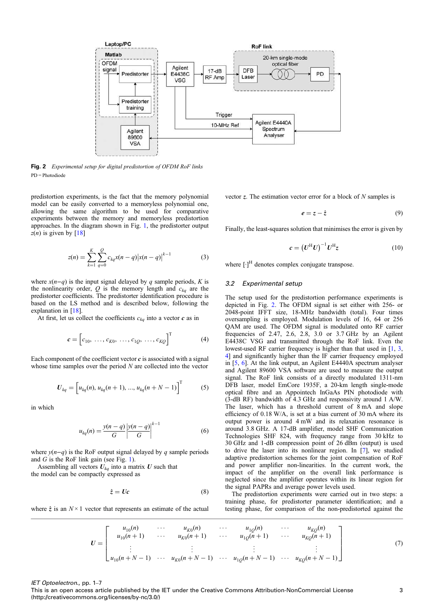<span id="page-3-0"></span>

Fig. 2 *Experimental setup for digital predistortion of OFDM RoF links*  $PD = Photodiode$ 

predistortion experiments, is the fact that the memory polynomial model can be easily converted to a memoryless polynomial one, allowing the same algorithm to be used for comparative experiments between the memory and memoryless predistortion approaches. In the diagram shown in Fig. [1](#page-1-0), the predistorter output  $z(n)$  is given by [\[18](#page-6-0)]

$$
z(n) = \sum_{k=1}^{K} \sum_{q=0}^{Q} c_{kq} x(n-q) |x(n-q)|^{k-1}
$$
 (3)

where  $x(n-q)$  is the input signal delayed by *q* sample periods, *K* is the nonlinearity order,  $Q$  is the memory length and  $c_{kq}$  are the predistorter coefficients. The predistorter identification procedure is based on the LS method and is described below, following the explanation in [\[18](#page-6-0)].

At first, let us collect the coefficients  $c_{ka}$  into a vector  $c$  as in

$$
\mathbf{c} = \begin{bmatrix} c_{10}, \dots, c_{K0}, \dots, c_{1Q}, \dots, c_{KQ} \end{bmatrix}^{\mathrm{T}}
$$
 (4)

Each component of the coefficient vector  $c$  is associated with a signal whose time samples over the period *N* are collected into the vector

$$
U_{kq} = \left[ u_{kq}(n), u_{kq}(n+1), ..., u_{kq}(n+N-1) \right]^{T}
$$
 (5)

in which

$$
u_{kq}(n) = \frac{y(n-q)}{G} \left| \frac{y(n-q)}{G} \right|^{k-1} \tag{6}
$$

where  $v(n-q)$  is the RoF output signal delayed by *q* sample periods and *G* is the RoF link gain (see Fig. [1](#page-1-0)).

Assembling all vectors  $U_{kq}$  into a matrix  $U$  such that the model can be compactly expressed as

$$
\hat{z} = Uc \tag{8}
$$

where  $\hat{z}$  is an  $N \times 1$  vector that represents an estimate of the actual

vector z. The estimation vector error for a block of *N* samples is

$$
e = z - \hat{z} \tag{9}
$$

Finally, the least-squares solution that minimises the error is given by

$$
c = \left(U^{\mathrm{H}}U\right)^{-1}U^{\mathrm{H}}z\tag{10}
$$

where  $[\cdot]^H$  denotes complex conjugate transpose.

#### 3.2 Experimental setup

The setup used for the predistortion performance experiments is depicted in Fig. [2](#page-2-0). The OFDM signal is set either with 256- or 2048-point IFFT size, 18-MHz bandwidth (total). Four times oversampling is employed. Modulation levels of 16, 64 or 256 QAM are used. The OFDM signal is modulated onto RF carrier frequencies of 2.47, 2.6, 2.8, 3.0 or 3.7 GHz by an Agilent E4438C VSG and transmitted through the RoF link. Even the lowest-used RF carrier frequency is higher than that used in [\[1,](#page-6-0) [3](#page-6-0), [4](#page-6-0)] and significantly higher than the IF carrier frequency employed in [[5](#page-6-0), [6\]](#page-6-0). At the link output, an Agilent E4440A spectrum analyser and Agilent 89600 VSA software are used to measure the output signal. The RoF link consists of a directly modulated 1311-nm DFB laser, model EmCore 1935F, a 20-km length single-mode optical fibre and an Appointech InGaAs PIN photodiode with (3-dB RF) bandwidth of 4.3 GHz and responsivity around 1 A/W. The laser, which has a threshold current of 8 mA and slope efficiency of 0.18 W/A, is set at a bias current of 30 mA where its output power is around 4 mW and its relaxation resonance is around 3.8 GHz. A 17-dB amplifier, model SHF Communication Technologies SHF 824, with frequency range from 30 kHz to 30 GHz and 1-dB compression point of 26 dBm (output) is used to drive the laser into its nonlinear region. In [\[7\]](#page-6-0), we studied adaptive predistortion schemes for the joint compensation of RoF and power amplifier non-linearities. In the current work, the impact of the amplifier on the overall link performance is neglected since the amplifier operates within its linear region for the signal PAPRs and average power levels used.

The predistortion experiments were carried out in two steps: a training phase, for predistorter parameter identification; and a testing phase, for comparison of the non-predistorted against the

$$
U = \begin{bmatrix} u_{10}(n) & \cdots & u_{K0}(n) & \cdots & u_{1Q}(n) & \cdots & u_{KQ}(n) \\ u_{10}(n+1) & \cdots & u_{K0}(n+1) & \cdots & u_{1Q}(n+1) & \cdots & u_{KQ}(n+1) \\ \vdots & \vdots & \ddots & \vdots & \vdots & \vdots \\ u_{10}(n+N-1) & \cdots & u_{K0}(n+N-1) & \cdots & u_{1Q}(n+N-1) & \cdots & u_{KQ}(n+N-1) \end{bmatrix}
$$
(7)

IET Optoelectron., pp. 1–7

This is an open access article published by the IET under the Creative Commons Attribution-NonCommercial License 3 (http://creativecommons.org/licenses/by-nc/3.0/)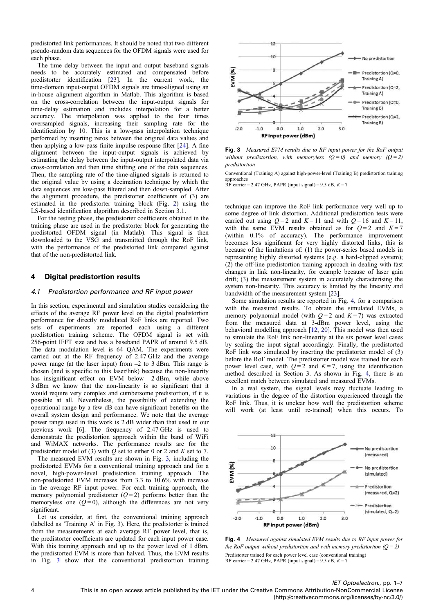<span id="page-4-0"></span>predistorted link performances. It should be noted that two different pseudo-random data sequences for the OFDM signals were used for each phase.

The time delay between the input and output baseband signals needs to be accurately estimated and compensated before predistorter identification [\[23](#page-6-0)]. In the current work, the time-domain input-output OFDM signals are time-aligned using an in-house alignment algorithm in Matlab. This algorithm is based on the cross-correlation between the input-output signals for time-delay estimation and includes interpolation for a better accuracy. The interpolation was applied to the four times oversampled signals, increasing their sampling rate for the identification by 10. This is a low-pass interpolation technique performed by inserting zeros between the original data values and then applying a low-pass finite impulse response filter [\[24](#page-6-0)]. A fine alignment between the input-output signals is achieved by estimating the delay between the input-output interpolated data via cross-correlation and then time shifting one of the data sequences. Then, the sampling rate of the time-aligned signals is returned to the original value by using a decimation technique by which the data sequences are low-pass filtered and then down-sampled. After the alignment procedure, the predistorter coefficients of (3) are estimated in the predistorter training block (Fig. [2](#page-2-0)) using the LS-based identification algorithm described in Section 3.1.

For the testing phase, the predistorter coefficients obtained in the training phase are used in the predistorter block for generating the predistorted OFDM signal (in Matlab). This signal is then downloaded to the VSG and transmitted through the RoF link, with the performance of the predistorted link compared against that of the non-predistorted link.

#### 4 Digital predistortion results

#### 4.1 Predistortion performance and RF input power

In this section, experimental and simulation studies considering the effects of the average RF power level on the digital predistortion performance for directly modulated RoF links are reported. Two sets of experiments are reported each using a different predistortion training scheme. The OFDM signal is set with 256-point IFFT size and has a baseband PAPR of around 9.5 dB. The data modulation level is 64 QAM. The experiments were carried out at the RF frequency of 2.47 GHz and the average power range (at the laser input) from –2 to 3 dBm. This range is chosen (and is specific to this laser/link) because the non-linearity has insignificant effect on EVM below -2 dBm, while above 3 dBm we know that the non-linearity is so significant that it would require very complex and cumbersome predistortion, if it is possible at all. Nevertheless, the possibility of extending the operational range by a few dB can have significant benefits on the overall system design and performance. We note that the average power range used in this work is 2 dB wider than that used in our previous work [\[6\]](#page-6-0). The frequency of 2.47 GHz is used to demonstrate the predistortion approach within the band of WiFi and WiMAX networks. The performance results are for the predistorter model of (3) with *Q* set to either 0 or 2 and *K* set to 7.

The measured EVM results are shown in Fig. [3,](#page-3-0) including the predistorted EVMs for a conventional training approach and for a novel, high-power-level predistortion training approach. The non-predistorted EVM increases from 3.3 to 10.6% with increase in the average RF input power. For each training approach, the memory polynomial predistorter  $(Q=2)$  performs better than the memoryless one  $(Q=0)$ , although the differences are not very significant.

Let us consider, at first, the conventional training approach (labelled as 'Training A' in Fig. [3\)](#page-3-0). Here, the predistorter is trained from the measurements at each average RF power level, that is, the predistorter coefficients are updated for each input power case. With this training approach and up to the power level of 1 dBm, the predistorted EVM is more than halved. Thus, the EVM results in Fig. [3](#page-3-0) show that the conventional predistortion training



Fig. 3 *Measured EVM results due to RF input power for the RoF output without predistortion, with memoryless*  $(O = 0)$  *and memory*  $(O = 2)$ *predistortion*

Conventional (Training A) against high-power-level (Training B) predistortion training approaches

RF carrier = 2.47 GHz, PAPR (input signal) = 9.5 dB, *K* = 7

technique can improve the RoF link performance very well up to some degree of link distortion. Additional predistortion tests were carried out using  $Q = 2$  and  $K = 11$  and with  $Q = 16$  and  $K = 11$ , with the same EVM results obtained as for  $Q=2$  and  $K=7$ (within 0.1% of accuracy). The performance improvement becomes less significant for very highly distorted links, this is because of the limitations of: (1) the power-series based models in representing highly distorted systems (e.g. a hard-clipped system); (2) the off-line predistortion training approach in dealing with fast changes in link non-linearity, for example because of laser gain drift; (3) the measurement system in accurately characterising the system non-linearity. This accuracy is limited by the linearity and bandwidth of the measurement system [[23\]](#page-6-0).

Some simulation results are reported in Fig. [4,](#page-3-0) for a comparison with the measured results. To obtain the simulated EVMs, a memory polynomial model (with  $Q = 2$  and  $K = 7$ ) was extracted from the measured data at 3-dBm power level, using the behavioral modelling approach [[12,](#page-6-0) [20\]](#page-6-0). This model was then used to simulate the RoF link non-linearity at the six power level cases by scaling the input signal accordingly. Finally, the predistorted RoF link was simulated by inserting the predistorter model of (3) before the RoF model. The predistorter model was trained for each power level case, with  $Q = 2$  and  $K = 7$ , using the identification method described in Section 3. As shown in Fig. [4](#page-3-0), there is an excellent match between simulated and measured EVMs.

In a real system, the signal levels may fluctuate leading to variations in the degree of the distortion experienced through the RoF link. Thus, it is unclear how well the predistortion scheme will work (at least until re-trained) when this occurs. To



Fig. 4 *Measured against simulated EVM results due to RF input power for the RoF output without predistortion and with memory predistortion (Q = 2)* Predistorter trained for each power level case (conventional training) RF carrier = 2.47 GHz, PAPR (input signal) = 9.5 dB, *K* = 7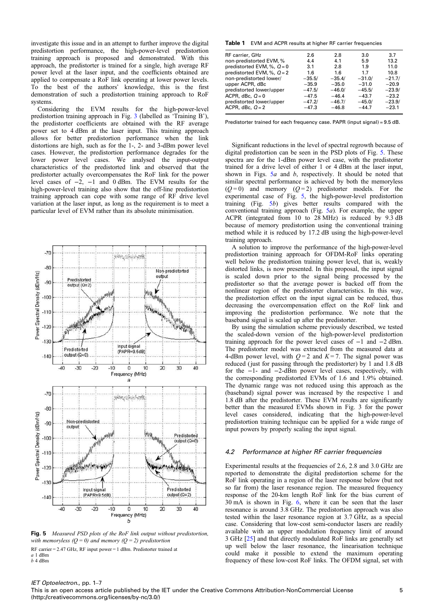<span id="page-5-0"></span>investigate this issue and in an attempt to further improve the digital predistortion performance, the high-power-level predistortion training approach is proposed and demonstrated. With this approach, the predistorter is trained for a single, high average RF power level at the laser input, and the coefficients obtained are applied to compensate a RoF link operating at lower power levels. To the best of the authors' knowledge, this is the first demonstration of such a predistortion training approach to RoF systems.

Considering the EVM results for the high-power-level predistortion training approach in Fig. [3](#page-3-0) (labelled as 'Training B'), the predistorter coefficients are obtained with the RF average power set to 4 dBm at the laser input. This training approach allows for better predistortion performance when the link distortions are high, such as for the 1-, 2- and 3-dBm power level cases. However, the predistortion performance degrades for the lower power level cases. We analysed the input-output characteristics of the predistorted link and observed that the predistorter actually overcompensates the RoF link for the power level cases of  $-2$ ,  $-1$  and 0 dBm. The EVM results for the high-power-level training also show that the off-line predistortion training approach can cope with some range of RF drive level variation at the laser input, as long as the requirement is to meet a particular level of EVM rather than its absolute minimisation.



Fig. 5 *Measured PSD plots of the RoF link output without predistortion, with memoryless (Q = 0) and memory (Q = 2) predistortion* RF carrier = 2.47 GHz, RF input power = 1 dBm. Predistorter trained at *a* 1 dBm *b* 4 dBm

Table 1 EVM and ACPR results at higher RF carrier frequencies

| RF carrier, GHz              | 2.6      | 2.8      | 3.0      | 3.7      |
|------------------------------|----------|----------|----------|----------|
| non-predistorted EVM, %      | 4.4      | 4.1      | 5.9      | 13.2     |
| predistorted EVM, %, $Q = 0$ | 3.1      | 2.8      | 1.9      | 11.0     |
| predistorted EVM, %, $Q = 2$ | 1.6      | 1.6      | 1.7      | 10.8     |
| non-predistorted lower/      | $-35.5/$ | $-35.4/$ | $-31.0/$ | $-21.7/$ |
| upper ACPR, dBc              | $-35.9$  | $-35.0$  | $-31.0$  | $-20.9$  |
| predistorted lower/upper     | $-47.5/$ | $-46.0/$ | $-45.5/$ | $-23.9/$ |
| ACPR, dBc, $Q=0$             | $-47.5$  | $-46.4$  | $-43.7$  | $-23.2$  |
| predistorted lower/upper     | $-47.2/$ | $-46.7/$ | $-45.0/$ | $-23.9/$ |
| ACPR, dBc, $Q = 2$           | $-47.3$  | $-46.8$  | $-44.7$  | $-23.1$  |
|                              |          |          |          |          |

Predistorter trained for each frequency case. PAPR (input signal) = 9.5 dB.

Significant reductions in the level of spectral regrowth because of digital predistortion can be seen in the PSD plots of Fig. [5](#page-4-0). These spectra are for the 1-dBm power level case, with the predistorter trained for a drive level of either 1 or 4 dBm at the laser input, shown in Figs. [5](#page-4-0)*a* and *b*, respectively. It should be noted that similar spectral performance is achieved by both the memoryless  $(Q=0)$  and memory  $(Q=2)$  predistorter models. For the experimental case of Fig. [5,](#page-4-0) the high-power-level predistortion training (Fig. [5](#page-4-0)*b*) gives better results compared with the conventional training approach (Fig. [5](#page-4-0)*a*). For example, the upper ACPR (integrated from 10 to 28 MHz) is reduced by 9.3 dB because of memory predistortion using the conventional training method while it is reduced by 17.2 dB using the high-power-level training approach.

A solution to improve the performance of the high-power-level predistortion training approach for OFDM-RoF links operating well below the predistortion training power level, that is, weakly distorted links, is now presented. In this proposal, the input signal is scaled down prior to the signal being processed by the predistorter so that the average power is backed off from the nonlinear region of the predistorter characteristics. In this way, the predistortion effect on the input signal can be reduced, thus decreasing the overcompensation effect on the RoF link and improving the predistortion performance. We note that the baseband signal is scaled up after the predistorter.

By using the simulation scheme previously described, we tested the scaled-down version of the high-power-level predistortion training approach for the power level cases of −1 and −2 dBm. The predistorter model was extracted from the measured data at 4-dBm power level, with  $Q = 2$  and  $K = 7$ . The signal power was reduced (just for passing through the predistorter) by 1 and 1.8  $dB$ for the −1- and −2-dBm power level cases, respectively, with the corresponding predistorted EVMs of 1.6 and 1.9% obtained. The dynamic range was not reduced using this approach as the (baseband) signal power was increased by the respective 1 and 1.8 dB after the predistorter. These EVM results are significantly better than the measured EVMs shown in Fig. 3 for the power level cases considered, indicating that the high-power-level predistortion training technique can be applied for a wide range of input powers by properly scaling the input signal.

#### 4.2 Performance at higher RF carrier frequencies

Experimental results at the frequencies of 2.6, 2.8 and 3.0 GHz are reported to demonstrate the digital predistortion scheme for the RoF link operating in a region of the laser response below (but not so far from) the laser resonance region. The measured frequency response of the 20-km length RoF link for the bias current of 30 mA is shown in Fig. 6, where it can be seen that the laser resonance is around 3.8 GHz. The predistortion approach was also tested within the laser resonance region at 3.7 GHz, as a special case. Considering that low-cost semi-conductor lasers are readily available with an upper modulation frequency limit of around 3 GHz [\[25](#page-6-0)] and that directly modulated RoF links are generally set up well below the laser resonance, the linearisation technique could make it possible to extend the maximum operating frequency of these low-cost RoF links. The OFDM signal, set with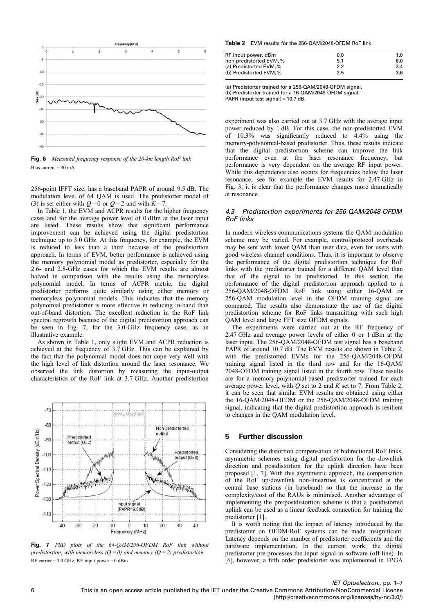<span id="page-6-0"></span>

Fig. 6 *Measured frequency response of the 20-km length RoF link* Bias current = 30 mA

256-point IFFT size, has a baseband PAPR of around 9.5 dB. The modulation level of 64 QAM is used. The predistorter model of (3) is set either with  $Q=0$  or  $Q=2$  and with  $K=7$ .

In Table [1](#page-4-0), the EVM and ACPR results for the higher frequency cases and for the average power level of 0 dBm at the laser input are listed. These results show that significant performance improvement can be achieved using the digital predistortion technique up to 3.0 GHz. At this frequency, for example, the EVM is reduced to less than a third because of the predistortion approach. In terms of EVM, better performance is achieved using the memory polynomial model as predistorter, especially for the 2.6- and 2.8-GHz cases for which the EVM results are almost halved in comparison with the results using the memoryless polynomial model. In terms of ACPR metric, the digital predistorter performs quite similarly using either memory or memoryless polynomial models. This indicates that the memory polynomial predistorter is more effective in reducing in-band than out-of-band distortion. The excellent reduction in the RoF link spectral regrowth because of the digital predistortion approach can be seen in Fig. [7](#page-5-0), for the 3.0-GHz frequency case, as an illustrative example.

As shown in Table [1,](#page-4-0) only slight EVM and ACPR reduction is achieved at the frequency of 3.7 GHz. This can be explained by the fact that the polynomial model does not cope very well with the high level of link distortion around the laser resonance. We observed the link distortion by measuring the input-output characteristics of the RoF link at 3.7 GHz. Another predistortion



Fig. 7 *PSD plots of the 64-QAM/256-OFDM RoF link without predistortion, with memoryless (* $Q = 0$ *) and memory (* $Q = 2$ *) predistortion* RF carrier = 3.0 GHz, RF input power = 0 dBm

Table 2 EVM results for the 256-QAM/2048-OFDM RoF link

| RF input power, dBm     | 0.0 | 1.0 |
|-------------------------|-----|-----|
| non-predistorted EVM, % | 5.1 | 6.0 |
| (a) Predistorted EVM, % | 2.2 | 3.4 |
| (b) Predistorted EVM, % | 2.5 | 3.6 |

(a) Predistorter trained for a 256-QAM/2048-OFDM signal. (b) Predistorter trained for a 16-QAM/2048-OFDM signal. PAPR (input test signal) =  $10.7$  dB.

experiment was also carried out at 3.7 GHz with the average input power reduced by 1 dB. For this case, the non-predistorted EVM of 10.3% was significantly reduced to 4.4% using the memory-polynomial-based predistorter. Thus, these results indicate that the digital predistortion scheme can improve the link performance even at the laser resonance frequency, but performance is very dependent on the average RF input power. While this dependence also occurs for frequencies below the laser resonance, see for example the EVM results for 2.47 GHz in Fig. [3](#page-3-0), it is clear that the performance changes more dramatically at resonance.

#### 4.3 Predistortion experiments for 256-QAM/2048-OFDM RoF links

In modern wireless communications systems the QAM modulation scheme may be varied. For example, control/protocol overheads may be sent with lower QAM than user data, even for users with good wireless channel conditions. Thus, it is important to observe the performance of the digital predistortion technique for RoF links with the predistorter trained for a different QAM level than that of the signal to be predistorted. In this section, the performance of the digital predistortion approach applied to a 256-QAM/2048-OFDM RoF link using either 16-QAM or 256-QAM modulation level in the OFDM training signal are compared. The results also demonstrate the use of the digital predistortion scheme for RoF links transmitting with such high QAM level and large FFT size OFDM signals.

The experiments were carried out at the RF frequency of 2.47 GHz and average power levels of either 0 or 1 dBm at the laser input. The 256-QAM/2048-OFDM test signal has a baseband PAPR of around 10.7 dB. The EVM results are shown in Table [2](#page-5-0), with the predistorted EVMs for the 256-QAM/2048-OFDM training signal listed in the third row and for the 16-QAM/ 2048-OFDM training signal listed in the fourth row. These results are for a memory-polynomial-based predistorter trained for each average power level, with *Q* set to 2 and *K* set to 7. From Table [2](#page-5-0), it can be seen that similar EVM results are obtained using either the 16-QAM/2048-OFDM or the 256-QAM/2048-OFDM training signal, indicating that the digital predistortion approach is resilient to changes in the QAM modulation level.

#### 5 Further discussion

Considering the distortion compensation of bidirectional RoF links, asymmetric schemes using digital predistortion for the downlink direction and postdistortion for the uplink direction have been proposed [1, 7]. With this asymmetric approach, the compensation of the RoF up/downlink non-linearities is concentrated at the central base stations (in baseband) so that the increase in the complexity/cost of the RAUs is minimised. Another advantage of implementing the pre/postdistortion scheme is that a postdistorted uplink can be used as a linear feedback connection for training the predistorter [1].

It is worth noting that the impact of latency introduced by the predistorter on OFDM-RoF systems can be made insignificant. Latency depends on the number of predistorter coefficients and the hardware implementation. In the current work, the digital predistorter pre-processes the input signal in software (off-line). In [6], however, a fifth order predistorter was implemented in FPGA